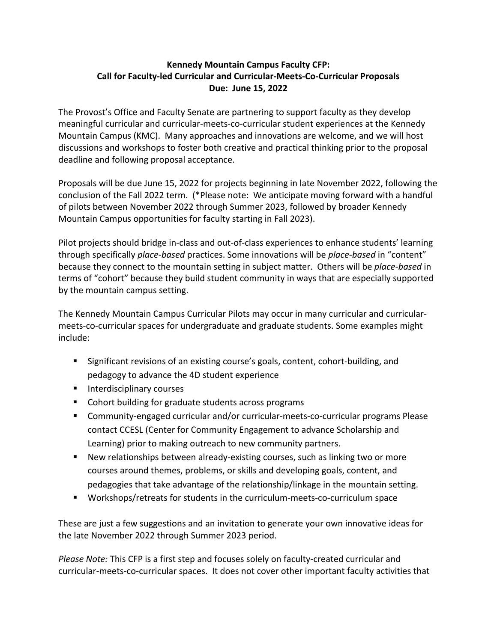## **Kennedy Mountain Campus Faculty CFP: Call for Faculty-led Curricular and Curricular-Meets-Co-Curricular Proposals Due: June 15, 2022**

The Provost's Office and Faculty Senate are partnering to support faculty as they develop meaningful curricular and curricular-meets-co-curricular student experiences at the Kennedy Mountain Campus (KMC). Many approaches and innovations are welcome, and we will host discussions and workshops to foster both creative and practical thinking prior to the proposal deadline and following proposal acceptance.

Proposals will be due June 15, 2022 for projects beginning in late November 2022, following the conclusion of the Fall 2022 term. (\*Please note: We anticipate moving forward with a handful of pilots between November 2022 through Summer 2023, followed by broader Kennedy Mountain Campus opportunities for faculty starting in Fall 2023).

Pilot projects should bridge in-class and out-of-class experiences to enhance students' learning through specifically *place-based* practices. Some innovations will be *place-based* in "content" because they connect to the mountain setting in subject matter. Others will be *place-based* in terms of "cohort" because they build student community in ways that are especially supported by the mountain campus setting.

The Kennedy Mountain Campus Curricular Pilots may occur in many curricular and curricularmeets-co-curricular spaces for undergraduate and graduate students. Some examples might include:

- Significant revisions of an existing course's goals, content, cohort-building, and pedagogy to advance the 4D student experience
- Interdisciplinary courses
- Cohort building for graduate students across programs
- § Community-engaged curricular and/or curricular-meets-co-curricular programs Please contact CCESL (Center for Community Engagement to advance Scholarship and Learning) prior to making outreach to new community partners.
- § New relationships between already-existing courses, such as linking two or more courses around themes, problems, or skills and developing goals, content, and pedagogies that take advantage of the relationship/linkage in the mountain setting.
- § Workshops/retreats for students in the curriculum-meets-co-curriculum space

These are just a few suggestions and an invitation to generate your own innovative ideas for the late November 2022 through Summer 2023 period.

*Please Note:* This CFP is a first step and focuses solely on faculty-created curricular and curricular-meets-co-curricular spaces. It does not cover other important faculty activities that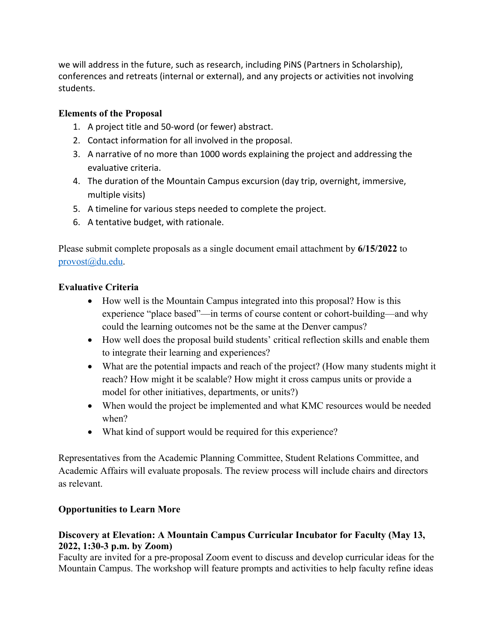we will address in the future, such as research, including PiNS (Partners in Scholarship), conferences and retreats (internal or external), and any projects or activities not involving students.

## **Elements of the Proposal**

- 1. A project title and 50-word (or fewer) abstract.
- 2. Contact information for all involved in the proposal.
- 3. A narrative of no more than 1000 words explaining the project and addressing the evaluative criteria.
- 4. The duration of the Mountain Campus excursion (day trip, overnight, immersive, multiple visits)
- 5. A timeline for various steps needed to complete the project.
- 6. A tentative budget, with rationale.

Please submit complete proposals as a single document email attachment by **6/15/2022** to provost@du.edu.

## **Evaluative Criteria**

- How well is the Mountain Campus integrated into this proposal? How is this experience "place based"—in terms of course content or cohort-building—and why could the learning outcomes not be the same at the Denver campus?
- How well does the proposal build students' critical reflection skills and enable them to integrate their learning and experiences?
- What are the potential impacts and reach of the project? (How many students might it reach? How might it be scalable? How might it cross campus units or provide a model for other initiatives, departments, or units?)
- When would the project be implemented and what KMC resources would be needed when?
- What kind of support would be required for this experience?

Representatives from the Academic Planning Committee, Student Relations Committee, and Academic Affairs will evaluate proposals. The review process will include chairs and directors as relevant.

# **Opportunities to Learn More**

### **Discovery at Elevation: A Mountain Campus Curricular Incubator for Faculty (May 13, 2022, 1:30-3 p.m. by Zoom)**

Faculty are invited for a pre-proposal Zoom event to discuss and develop curricular ideas for the Mountain Campus. The workshop will feature prompts and activities to help faculty refine ideas